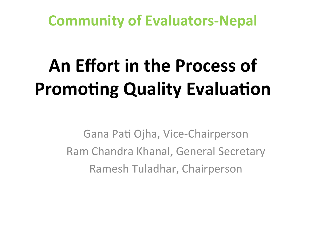**Community of Evaluators-Nepal** 

# An Effort in the Process of **Promoting Quality Evaluation**

Gana Pati Ojha, Vice-Chairperson Ram Chandra Khanal, General Secretary Ramesh Tuladhar,!Chairperson!!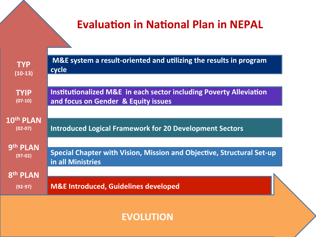#### **Evaluation in National Plan in NEPAL**

| <b>TYP</b>                         | M&E system a result-oriented and utilizing the results in program             |
|------------------------------------|-------------------------------------------------------------------------------|
| $(10-13)$                          | cycle                                                                         |
| <b>TYIP</b>                        | <b>Institutionalized M&amp;E in each sector including Poverty Alleviation</b> |
| $(07-10)$                          | and focus on Gender & Equity issues                                           |
| 10 <sup>th</sup> PLAN<br>$(02-07)$ | <b>Introduced Logical Framework for 20 Development Sectors</b>                |
| 9th PLAN                           | Special Chapter with Vision, Mission and Objective, Structural Set-up         |
| $(97-02)$                          | in all Ministries                                                             |
| 8 <sup>th</sup> PLAN<br>$(92-97)$  | <b>M&amp;E Introduced, Guidelines developed</b>                               |
|                                    |                                                                               |

**EVOLUTION)**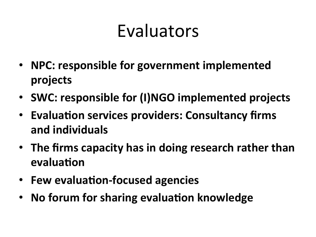# **Evaluators**

- NPC: responsible for government implemented **projects)**
- SWC: responsible for (I)NGO implemented projects
- Evaluation services providers: Consultancy firms **and)individuals)**
- The firms capacity has in doing research rather than **evaluation**
- Few evaluation-focused agencies
- No forum for sharing evaluation knowledge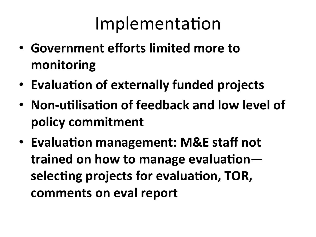# Implementation

- Government efforts limited more to **monitoring)**
- Evaluation of externally funded projects
- Non-utilisation of feedback and low level of **policy)commitment)**
- Evaluation management: M&E staff not trained on how to manage evaluationselecting projects for evaluation, TOR, comments on eval report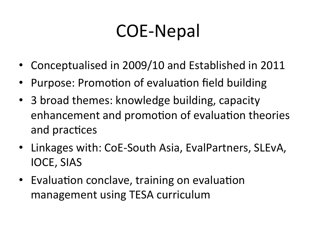# COE-Nepal

- Conceptualised in 2009/10 and Established in 2011
- Purpose: Promotion of evaluation field building
- 3 broad themes: knowledge building, capacity enhancement and promotion of evaluation theories and practices
- Linkages with: CoE-South Asia, EvalPartners, SLEvA, IOCE, SIAS
- Evaluation conclave, training on evaluation management using TESA curriculum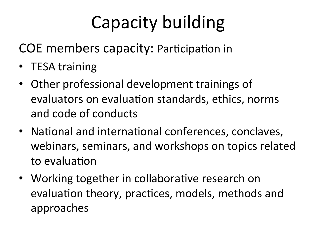# Capacity building

COE members capacity: Participation in

- TESA training
- Other professional development trainings of evaluators on evaluation standards, ethics, norms and code of conducts
- National and international conferences, conclaves, webinars, seminars, and workshops on topics related to evaluation
- Working together in collaborative research on evaluation theory, practices, models, methods and approaches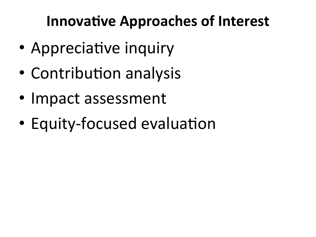### **Innovative Approaches of Interest**

- Appreciative inquiry
- Contribution analysis
- Impact assessment
- Equity-focused evaluation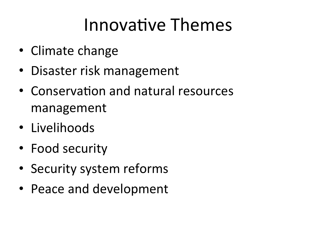## Innovative Themes

- Climate change
- Disaster risk management
- Conservation and natural resources management!
- Livelihoods
- Food security
- Security system reforms
- Peace and development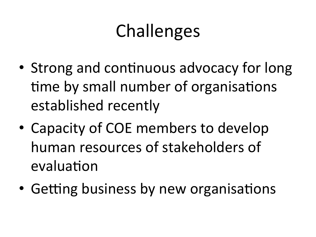# **Challenges**

- Strong and continuous advocacy for long time by small number of organisations established recently
- Capacity of COE members to develop human resources of stakeholders of evaluation
- Getting business by new organisations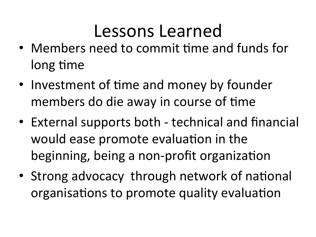### Lessons Learned

- Members need to commit time and funds for long time
- Investment of time and money by founder members do die away in course of time
- External supports both technical and financial would ease promote evaluation in the beginning, being a non-profit organization
- Strong advocacy through network of national organisations to promote quality evaluation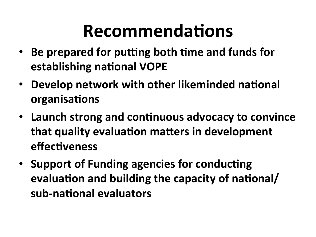# **Recommendations**

- Be prepared for putting both time and funds for **establishing national VOPE**
- Develop network with other likeminded national **organisations**
- Launch strong and continuous advocacy to convince that quality evaluation matters in development **effectiveness**
- Support of Funding agencies for conducting evaluation and building the capacity of national/ sub-national evaluators